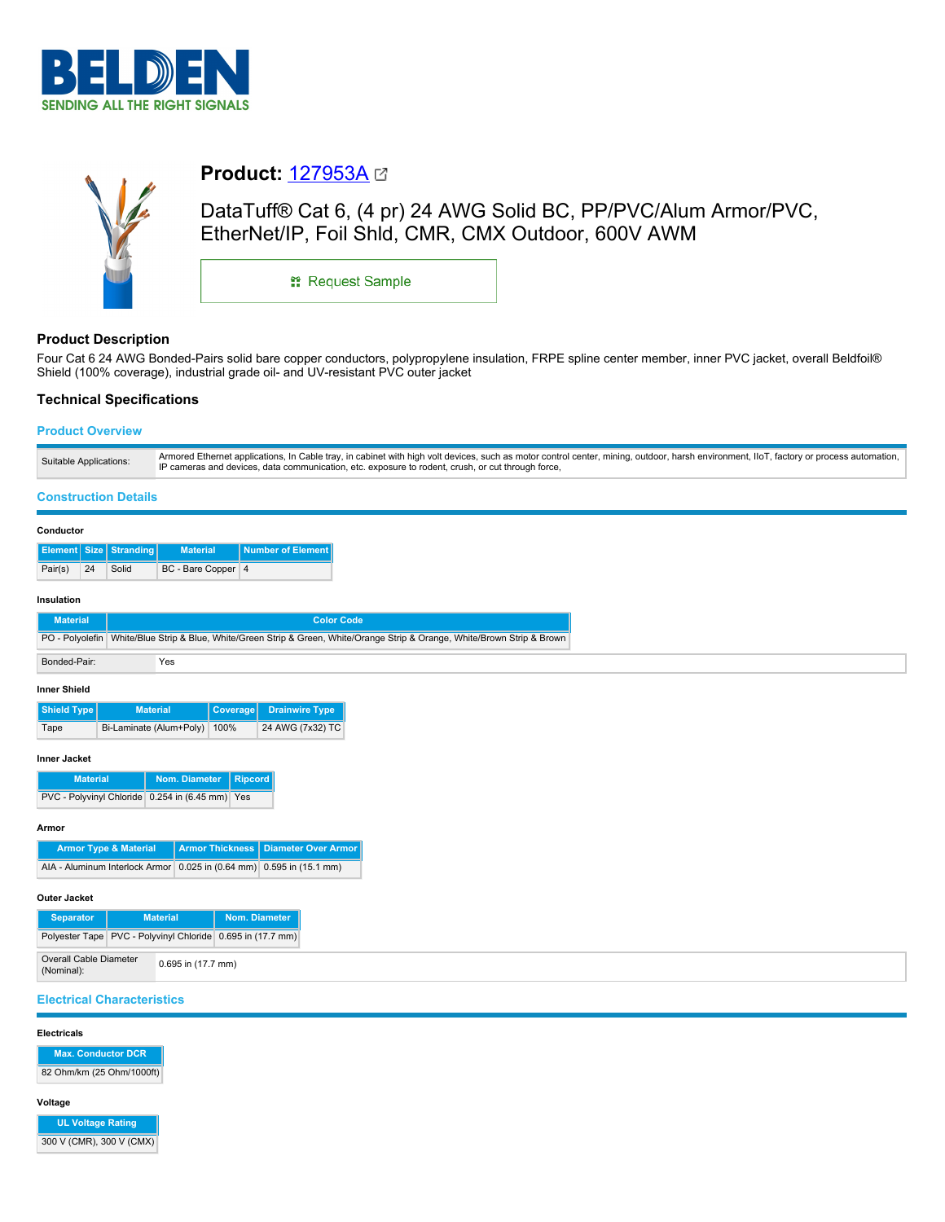



# **Product:** [127953A](https://catalog.belden.com/index.cfm?event=pd&p=PF_127953A&tab=downloads)

DataTuff® Cat 6, (4 pr) 24 AWG Solid BC, PP/PVC/Alum Armor/PVC, EtherNet/IP, Foil Shld, CMR, CMX Outdoor, 600V AWM

\*\* Request Sample

# **Product Description**

Four Cat 6 24 AWG Bonded-Pairs solid bare copper conductors, polypropylene insulation, FRPE spline center member, inner PVC jacket, overall Beldfoil® Shield (100% coverage), industrial grade oil- and UV-resistant PVC outer jacket

# **Technical Specifications**

# **Product Overview**

| Suitable Applications: | Armored Ethernet applications, In Cable tray, in cabinet with high volt devices, such as motor control center, mining, outdoor, harsh environment, IIoT, factory or process automation,<br>IP cameras and devices, data communication, etc. exposure to rodent, crush, or cut through force, |
|------------------------|----------------------------------------------------------------------------------------------------------------------------------------------------------------------------------------------------------------------------------------------------------------------------------------------|
|------------------------|----------------------------------------------------------------------------------------------------------------------------------------------------------------------------------------------------------------------------------------------------------------------------------------------|

### **Construction Details**

| Conductor                                                                                                                                                                                                                            |    |                               |                    |                                                                                                                            |
|--------------------------------------------------------------------------------------------------------------------------------------------------------------------------------------------------------------------------------------|----|-------------------------------|--------------------|----------------------------------------------------------------------------------------------------------------------------|
|                                                                                                                                                                                                                                      |    | <b>Element Size Stranding</b> | <b>Material</b>    | Number of Element                                                                                                          |
| Pair(s)                                                                                                                                                                                                                              | 24 | Solid                         | BC - Bare Copper 4 |                                                                                                                            |
| Insulation<br><b>Material</b>                                                                                                                                                                                                        |    |                               |                    | <b>Color Code</b>                                                                                                          |
|                                                                                                                                                                                                                                      |    |                               |                    | PO - Polyolefin White/Blue Strip & Blue, White/Green Strip & Green, White/Orange Strip & Orange, White/Brown Strip & Brown |
| Bonded-Pair:                                                                                                                                                                                                                         |    |                               | Yes                |                                                                                                                            |
| <b>The contract Contract of the Contract of the Contract of the Contract of the Contract of the Contract of the Contract of the Contract of the Contract of the Contract of the Contract of the Contract of the Contract of the </b> |    |                               |                    |                                                                                                                            |

#### **Inner Shield**

| Shield Type | <b>Material</b>              | Coverage Drainwire Type |
|-------------|------------------------------|-------------------------|
| Tape        | Bi-Laminate (Alum+Poly) 100% | 24 AWG (7x32) TC        |

### **Inner Jacket**

| <b>Material</b>                                     | Nom. Diameter   Ripcord |  |
|-----------------------------------------------------|-------------------------|--|
| PVC - Polyvinyl Chloride   0.254 in (6.45 mm)   Yes |                         |  |

#### **Armor**

| <b>Armor Type &amp; Material</b>                                     | <b>Armor Thickness   Diameter Over Armor  </b> |
|----------------------------------------------------------------------|------------------------------------------------|
| AIA - Aluminum Interlock Armor 0.025 in (0.64 mm) 0.595 in (15.1 mm) |                                                |

#### **Outer Jacket**

| <b>Separator</b>                     |                                                                | <b>Material</b>    | Nom. Diameter |  |
|--------------------------------------|----------------------------------------------------------------|--------------------|---------------|--|
|                                      | Polyester Tape   PVC - Polyvinyl Chloride   0.695 in (17.7 mm) |                    |               |  |
| Overall Cable Diameter<br>(Nominal): |                                                                | 0.695 in (17.7 mm) |               |  |

# **Electrical Characteristics**

#### **Electricals**

**Max. Conductor DCR** 82 Ohm/km (25 Ohm/1000ft)

### **Voltage**

**UL Voltage Rating** 300 V (CMR), 300 V (CMX)